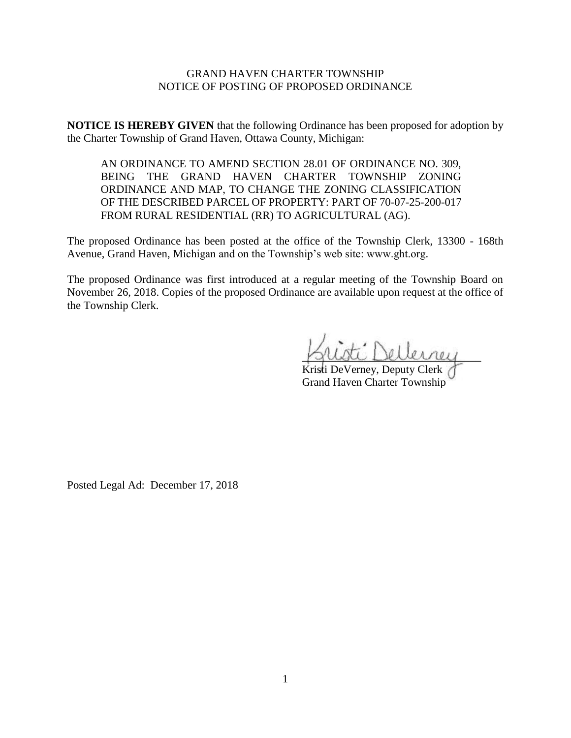## GRAND HAVEN CHARTER TOWNSHIP NOTICE OF POSTING OF PROPOSED ORDINANCE

**NOTICE IS HEREBY GIVEN** that the following Ordinance has been proposed for adoption by the Charter Township of Grand Haven, Ottawa County, Michigan:

AN ORDINANCE TO AMEND SECTION 28.01 OF ORDINANCE NO. 309, BEING THE GRAND HAVEN CHARTER TOWNSHIP ZONING ORDINANCE AND MAP, TO CHANGE THE ZONING CLASSIFICATION OF THE DESCRIBED PARCEL OF PROPERTY: PART OF 70-07-25-200-017 FROM RURAL RESIDENTIAL (RR) TO AGRICULTURAL (AG).

The proposed Ordinance has been posted at the office of the Township Clerk, 13300 - 168th Avenue, Grand Haven, Michigan and on the Township's web site: www.ght.org.

The proposed Ordinance was first introduced at a regular meeting of the Township Board on November 26, 2018. Copies of the proposed Ordinance are available upon request at the office of the Township Clerk.

\_\_\_\_\_\_\_\_\_\_\_\_\_\_\_\_\_\_\_\_\_\_\_\_\_\_\_\_\_\_\_\_

Kristi DeVerney, Deputy Clerk Grand Haven Charter Township

Posted Legal Ad: December 17, 2018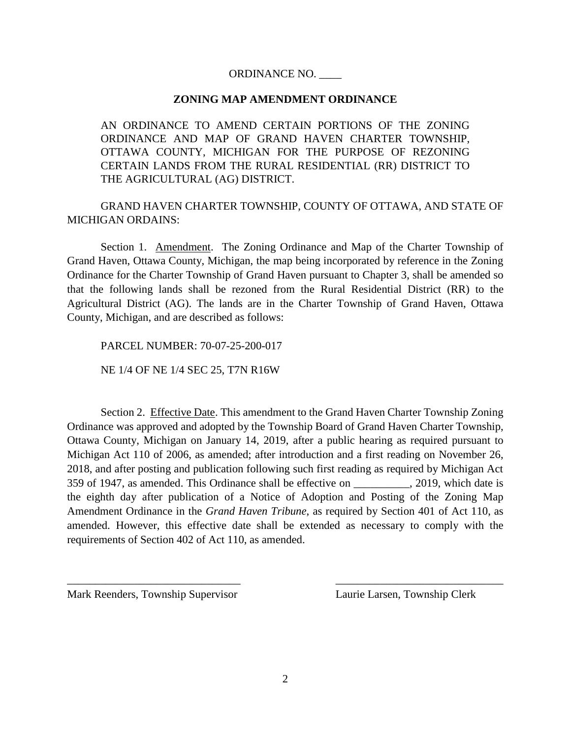## ORDINANCE NO. \_\_\_\_

## **ZONING MAP AMENDMENT ORDINANCE**

AN ORDINANCE TO AMEND CERTAIN PORTIONS OF THE ZONING ORDINANCE AND MAP OF GRAND HAVEN CHARTER TOWNSHIP, OTTAWA COUNTY, MICHIGAN FOR THE PURPOSE OF REZONING CERTAIN LANDS FROM THE RURAL RESIDENTIAL (RR) DISTRICT TO THE AGRICULTURAL (AG) DISTRICT.

GRAND HAVEN CHARTER TOWNSHIP, COUNTY OF OTTAWA, AND STATE OF MICHIGAN ORDAINS:

Section 1. Amendment. The Zoning Ordinance and Map of the Charter Township of Grand Haven, Ottawa County, Michigan, the map being incorporated by reference in the Zoning Ordinance for the Charter Township of Grand Haven pursuant to Chapter 3, shall be amended so that the following lands shall be rezoned from the Rural Residential District (RR) to the Agricultural District (AG). The lands are in the Charter Township of Grand Haven, Ottawa County, Michigan, and are described as follows:

PARCEL NUMBER: 70-07-25-200-017 NE 1/4 OF NE 1/4 SEC 25, T7N R16W

Section 2. Effective Date. This amendment to the Grand Haven Charter Township Zoning Ordinance was approved and adopted by the Township Board of Grand Haven Charter Township, Ottawa County, Michigan on January 14, 2019, after a public hearing as required pursuant to Michigan Act 110 of 2006, as amended; after introduction and a first reading on November 26, 2018, and after posting and publication following such first reading as required by Michigan Act 359 of 1947, as amended. This Ordinance shall be effective on  $\qquad \qquad$  2019, which date is the eighth day after publication of a Notice of Adoption and Posting of the Zoning Map Amendment Ordinance in the *Grand Haven Tribune*, as required by Section 401 of Act 110, as amended. However, this effective date shall be extended as necessary to comply with the requirements of Section 402 of Act 110, as amended.

Mark Reenders, Township Supervisor Laurie Larsen, Township Clerk

 $\overline{\phantom{a}}$  , and the contract of the contract of the contract of the contract of the contract of the contract of the contract of the contract of the contract of the contract of the contract of the contract of the contrac